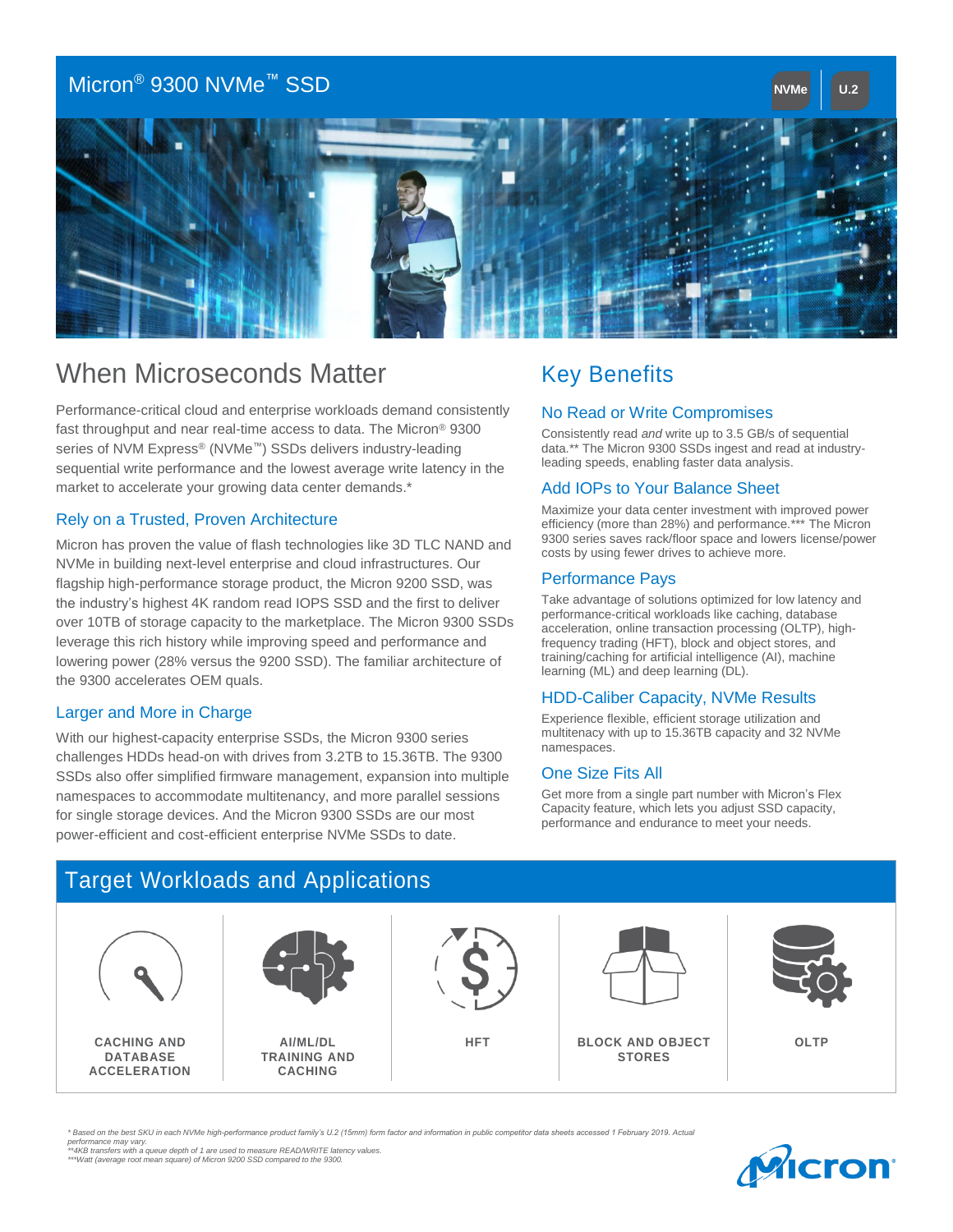## Micron® 9300 NVMe™ SSD **NVMe U.2**



# When Microseconds Matter

Performance-critical cloud and enterprise workloads demand consistently fast throughput and near real-time access to data. The Micron® 9300 series of NVM Express<sup>®</sup> (NVMe<sup>™</sup>) SSDs delivers industry-leading sequential write performance and the lowest average write latency in the market to accelerate your growing data center demands.\*

### Rely on a Trusted, Proven Architecture

Micron has proven the value of flash technologies like 3D TLC NAND and NVMe in building next-level enterprise and cloud infrastructures. Our flagship high-performance storage product, the Micron 9200 SSD, was the industry's highest 4K random read IOPS SSD and the first to deliver over 10TB of storage capacity to the marketplace. The Micron 9300 SSDs leverage this rich history while improving speed and performance and lowering power (28% versus the 9200 SSD). The familiar architecture of the 9300 accelerates OEM quals.

#### Larger and More in Charge

With our highest-capacity enterprise SSDs, the Micron 9300 series challenges HDDs head-on with drives from 3.2TB to 15.36TB. The 9300 SSDs also offer simplified firmware management, expansion into multiple namespaces to accommodate multitenancy, and more parallel sessions for single storage devices. And the Micron 9300 SSDs are our most power-efficient and cost-efficient enterprise NVMe SSDs to date.

# Key Benefits

# **No Read or Write Compromises**

Donalacting read and which up to 0.0 OB/3 or sequential<br>data.\*\* The Micron 9300 SSDs ingest and read at industryleading speeds, enabling faster data analysis. Consistently read *and* write up to 3.5 GB/s of sequential

#### set of the State of the 3x more energy efficient through the 3x more energy efficient than the 3x more energy efficient than the 3x more energy efficient than the 3x more energy efficient than the 3x more energy efficient Add IOPs to Your Balance Sheet

efficiency (more than 28%) and performance.\*\*\* The Micron coco conco careo racismoor opaco ana romoro noonco, pomo<br>costs by using fower drives to achieve more costs by using fewer drives to achieve more. Maximize your data center investment with improved power 9300 series saves rack/floor space and lowers license/power

### Performance Pays

penormance-chilical workloads like caching, database<br>acceleration, online transaction processing (OLTP), highfrequency trading (HFT), block and object stores, and training/caching for artificial intelligence (AI), machine learning (ML) and deep learning (DL). Take advantage of solutions optimized for low latency and performance-critical workloads like caching, database

#### HDD-Caliber Capacity, NVMe Results

Experience flexible, efficient storage utilization and multitenacy with up to 15.36TB capacity and 32 NVMe namespaces. New York Nanopaces of South 2002 and the results in the results of  $R$ 

### One Size Fits All

For more noming engine part names in minimizers in the control of the Capacity, performance and endurance to meet your needs. Get more from a single part number with Micron's Flex

## Target Workloads and Applications



*\* Based on the best SKU in each NVMe high-performance product family's U.2 (15mm) form factor and information in public competitor data sheets accessed 1 February 2019. Actual performance may vary. \*\*4KB transfers with a queue depth of 1 are used to measure READ/WRITE latency values. \*\*\*Watt (average root mean square) of Micron 9200 SSD compared to the 9300.*